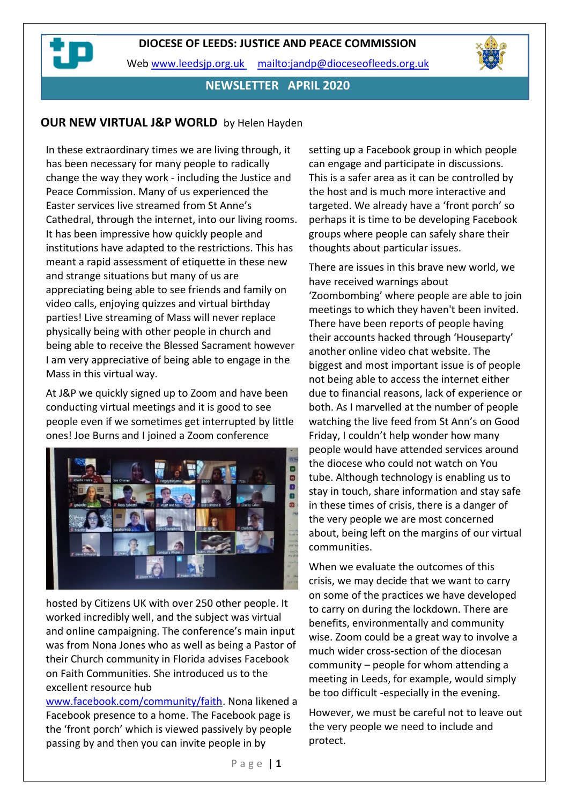

## **NEWSLETTER APRIL 2020**

## **OUR NEW VIRTUAL J&P WORLD** by Helen Hayden

In these extraordinary times we are living through, it has been necessary for many people to radically change the way they work - including the Justice and Peace Commission. Many of us experienced the Easter services live streamed from St Anne's Cathedral, through the internet, into our living rooms. It has been impressive how quickly people and institutions have adapted to the restrictions. This has meant a rapid assessment of etiquette in these new and strange situations but many of us are appreciating being able to see friends and family on video calls, enjoying quizzes and virtual birthday parties! Live streaming of Mass will never replace physically being with other people in church and being able to receive the Blessed Sacrament however I am very appreciative of being able to engage in the Mass in this virtual way.

At J&P we quickly signed up to Zoom and have been conducting virtual meetings and it is good to see people even if we sometimes get interrupted by little ones! Joe Burns and I joined a Zoom conference



hosted by Citizens UK with over 250 other people. It worked incredibly well, and the subject was virtual and online campaigning. The conference's main input was from Nona Jones who as well as being a Pastor of their Church community in Florida advises Facebook on Faith Communities. She introduced us to the excellent resource hub

[www.facebook.com/community/faith.](http://www.facebook.com/community/faith) Nona likened a Facebook presence to a home. The Facebook page is the 'front porch' which is viewed passively by people passing by and then you can invite people in by

setting up a Facebook group in which people can engage and participate in discussions. This is a safer area as it can be controlled by the host and is much more interactive and targeted. We already have a 'front porch' so perhaps it is time to be developing Facebook groups where people can safely share their thoughts about particular issues.

There are issues in this brave new world, we have received warnings about 'Zoombombing' where people are able to join meetings to which they haven't been invited. There have been reports of people having their accounts hacked through 'Houseparty' another online video chat website. The biggest and most important issue is of people not being able to access the internet either due to financial reasons, lack of experience or both. As I marvelled at the number of people watching the live feed from St Ann's on Good Friday, I couldn't help wonder how many people would have attended services around the diocese who could not watch on You tube. Although technology is enabling us to stay in touch, share information and stay safe in these times of crisis, there is a danger of the very people we are most concerned about, being left on the margins of our virtual communities.

When we evaluate the outcomes of this crisis, we may decide that we want to carry on some of the practices we have developed to carry on during the lockdown. There are benefits, environmentally and community wise. Zoom could be a great way to involve a much wider cross-section of the diocesan community – people for whom attending a meeting in Leeds, for example, would simply be too difficult -especially in the evening.

However, we must be careful not to leave out the very people we need to include and protect.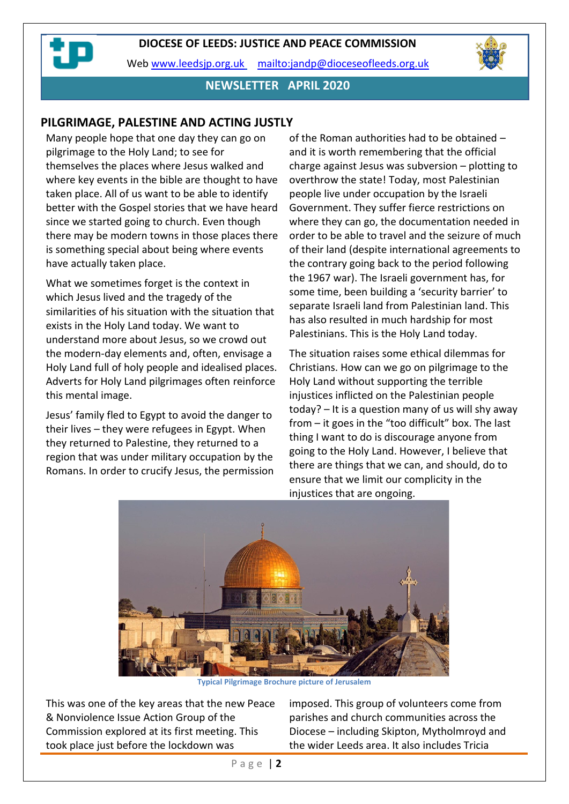



## **NEWSLETTER APRIL 2020**

#### **PILGRIMAGE, PALESTINE AND ACTING JUSTLY**

Many people hope that one day they can go on pilgrimage to the Holy Land; to see for themselves the places where Jesus walked and where key events in the bible are thought to have taken place. All of us want to be able to identify better with the Gospel stories that we have heard since we started going to church. Even though there may be modern towns in those places there is something special about being where events have actually taken place.

What we sometimes forget is the context in which Jesus lived and the tragedy of the similarities of his situation with the situation that exists in the Holy Land today. We want to understand more about Jesus, so we crowd out the modern-day elements and, often, envisage a Holy Land full of holy people and idealised places. Adverts for Holy Land pilgrimages often reinforce this mental image.

Jesus' family fled to Egypt to avoid the danger to their lives – they were refugees in Egypt. When they returned to Palestine, they returned to a region that was under military occupation by the Romans. In order to crucify Jesus, the permission of the Roman authorities had to be obtained – and it is worth remembering that the official charge against Jesus was subversion – plotting to overthrow the state! Today, most Palestinian people live under occupation by the Israeli Government. They suffer fierce restrictions on where they can go, the documentation needed in order to be able to travel and the seizure of much of their land (despite international agreements to the contrary going back to the period following the 1967 war). The Israeli government has, for some time, been building a 'security barrier' to separate Israeli land from Palestinian land. This has also resulted in much hardship for most Palestinians. This is the Holy Land today.

The situation raises some ethical dilemmas for Christians. How can we go on pilgrimage to the Holy Land without supporting the terrible injustices inflicted on the Palestinian people today? – It is a question many of us will shy away from – it goes in the "too difficult" box. The last thing I want to do is discourage anyone from going to the Holy Land. However, I believe that there are things that we can, and should, do to ensure that we limit our complicity in the injustices that are ongoing.



**Typical Pilgrimage Brochure picture of Jerusalem**

This was one of the key areas that the new Peace & Nonviolence Issue Action Group of the Commission explored at its first meeting. This took place just before the lockdown was

imposed. This group of volunteers come from parishes and church communities across the Diocese – including Skipton, Mytholmroyd and the wider Leeds area. It also includes Tricia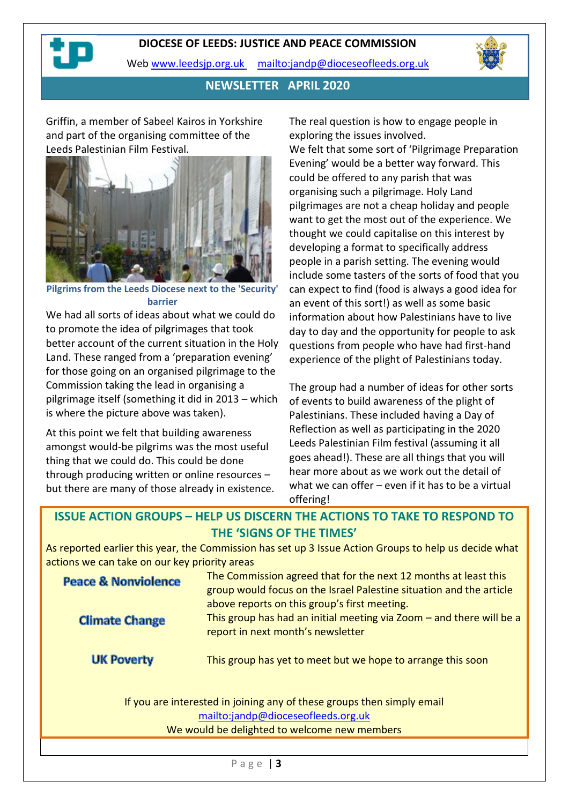#### **DIOCESE OF LEEDS: JUSTICE AND PEACE COMMISSION**

Web [www.leedsjp.org.uk](http://www.leedsjp.org.uk/) <mailto:jandp@dioceseofleeds.org.uk>



## **NEWSLETTER APRIL 2020**

Griffin, a member of Sabeel Kairos in Yorkshire and part of the organising committee of the Leeds Palestinian Film Festival.



**Pilgrims from the Leeds Diocese next to the 'Security' barrier**

We had all sorts of ideas about what we could do to promote the idea of pilgrimages that took better account of the current situation in the Holy Land. These ranged from a 'preparation evening' for those going on an organised pilgrimage to the Commission taking the lead in organising a pilgrimage itself (something it did in 2013 – which is where the picture above was taken).

At this point we felt that building awareness amongst would-be pilgrims was the most useful thing that we could do. This could be done through producing written or online resources – but there are many of those already in existence. The real question is how to engage people in exploring the issues involved. We felt that some sort of 'Pilgrimage Preparation Evening' would be a better way forward. This could be offered to any parish that was organising such a pilgrimage. Holy Land pilgrimages are not a cheap holiday and people want to get the most out of the experience. We thought we could capitalise on this interest by developing a format to specifically address people in a parish setting. The evening would include some tasters of the sorts of food that you can expect to find (food is always a good idea for an event of this sort!) as well as some basic information about how Palestinians have to live day to day and the opportunity for people to ask questions from people who have had first-hand

The group had a number of ideas for other sorts of events to build awareness of the plight of Palestinians. These included having a Day of Reflection as well as participating in the 2020 Leeds Palestinian Film festival (assuming it all goes ahead!). These are all things that you will hear more about as we work out the detail of what we can offer – even if it has to be a virtual offering!

experience of the plight of Palestinians today.

## **ISSUE ACTION GROUPS – HELP US DISCERN THE ACTIONS TO TAKE TO RESPOND TO THE 'SIGNS OF THE TIMES'**

As reported earlier this year, the Commission has set up 3 Issue Action Groups to help us decide what actions we can take on our key priority areas

| <b>Peace &amp; Nonviolence</b> | The Commission agreed that for the next 12 months at least this<br>group would focus on the Israel Palestine situation and the article                    |
|--------------------------------|-----------------------------------------------------------------------------------------------------------------------------------------------------------|
| <b>Climate Change</b>          | above reports on this group's first meeting.<br>This group has had an initial meeting via Zoom - and there will be a<br>report in next month's newsletter |
| <b>UK Poverty</b>              | This group has yet to meet but we hope to arrange this soon                                                                                               |
|                                | If you are interested in joining any of these groups then simply email<br>mailto:jandp@dioceseofleeds.org.uk                                              |

#### We would be delighted to welcome new members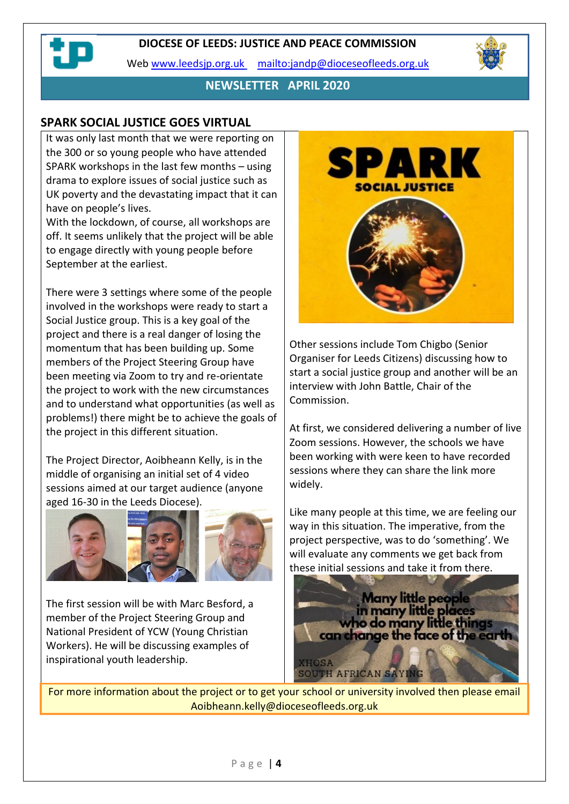## **DIOCESE OF LEEDS: JUSTICE AND PEACE COMMISSION**

Web [www.leedsjp.org.uk](http://www.leedsjp.org.uk/) <mailto:jandp@dioceseofleeds.org.uk>



## **NEWSLETTER APRIL 2020**

## **SPARK SOCIAL JUSTICE GOES VIRTUAL**

It was only last month that we were reporting on the 300 or so young people who have attended SPARK workshops in the last few months – using drama to explore issues of social justice such as UK poverty and the devastating impact that it can have on people's lives.

With the lockdown, of course, all workshops are off. It seems unlikely that the project will be able to engage directly with young people before September at the earliest.

There were 3 settings where some of the people involved in the workshops were ready to start a Social Justice group. This is a key goal of the project and there is a real danger of losing the momentum that has been building up. Some members of the Project Steering Group have been meeting via Zoom to try and re-orientate the project to work with the new circumstances and to understand what opportunities (as well as problems!) there might be to achieve the goals of the project in this different situation.

The Project Director, Aoibheann Kelly, is in the middle of organising an initial set of 4 video sessions aimed at our target audience (anyone aged 16-30 in the Leeds Diocese).



The first session will be with Marc Besford, a member of the Project Steering Group and National President of YCW (Young Christian Workers). He will be discussing examples of inspirational youth leadership.



Other sessions include Tom Chigbo (Senior Organiser for Leeds Citizens) discussing how to start a social justice group and another will be an interview with John Battle, Chair of the Commission.

At first, we considered delivering a number of live Zoom sessions. However, the schools we have been working with were keen to have recorded sessions where they can share the link more widely.

Like many people at this time, we are feeling our way in this situation. The imperative, from the project perspective, was to do 'something'. We will evaluate any comments we get back from these initial sessions and take it from there.



For more information about the project or to get your school or university involved then please email Aoibheann.kelly@dioceseofleeds.org.uk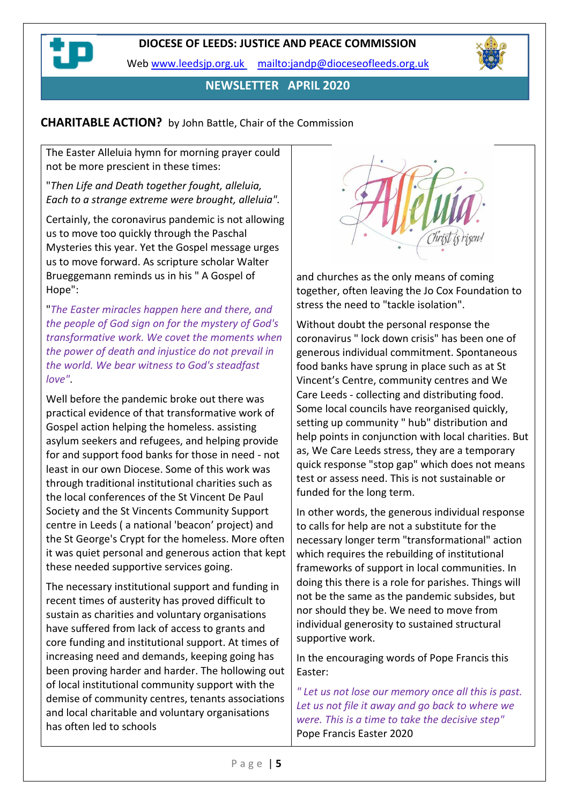**NEWSLETTER APRIL 2020**

# **CHARITABLE ACTION?** by John Battle, Chair of the Commission

The Easter Alleluia hymn for morning prayer could not be more prescient in these times:

"*Then Life and Death together fought, alleluia, Each to a strange extreme were brought, alleluia".*

Certainly, the coronavirus pandemic is not allowing us to move too quickly through the Paschal Mysteries this year. Yet the Gospel message urges us to move forward. As scripture scholar Walter Brueggemann reminds us in his " A Gospel of Hope":

"*The Easter miracles happen here and there, and the people of God sign on for the mystery of God's transformative work. We covet the moments when the power of death and injustice do not prevail in the world. We bear witness to God's steadfast love"*.

Well before the pandemic broke out there was practical evidence of that transformative work of Gospel action helping the homeless. assisting asylum seekers and refugees, and helping provide for and support food banks for those in need - not least in our own Diocese. Some of this work was through traditional institutional charities such as the local conferences of the St Vincent De Paul Society and the St Vincents Community Support centre in Leeds ( a national 'beacon' project) and the St George's Crypt for the homeless. More often it was quiet personal and generous action that kept these needed supportive services going.

The necessary institutional support and funding in recent times of austerity has proved difficult to sustain as charities and voluntary organisations have suffered from lack of access to grants and core funding and institutional support. At times of increasing need and demands, keeping going has been proving harder and harder. The hollowing out of local institutional community support with the demise of community centres, tenants associations and local charitable and voluntary organisations has often led to schools



and churches as the only means of coming together, often leaving the Jo Cox Foundation to stress the need to "tackle isolation".

Without doubt the personal response the coronavirus " lock down crisis" has been one of generous individual commitment. Spontaneous food banks have sprung in place such as at St Vincent's Centre, community centres and We Care Leeds - collecting and distributing food. Some local councils have reorganised quickly, setting up community " hub" distribution and help points in conjunction with local charities. But as, We Care Leeds stress, they are a temporary quick response "stop gap" which does not means test or assess need. This is not sustainable or funded for the long term.

In other words, the generous individual response to calls for help are not a substitute for the necessary longer term "transformational" action which requires the rebuilding of institutional frameworks of support in local communities. In doing this there is a role for parishes. Things will not be the same as the pandemic subsides, but nor should they be. We need to move from individual generosity to sustained structural supportive work.

In the encouraging words of Pope Francis this Easter:

*" Let us not lose our memory once all this is past. Let us not file it away and go back to where we were. This is a time to take the decisive step"*  Pope Francis Easter 2020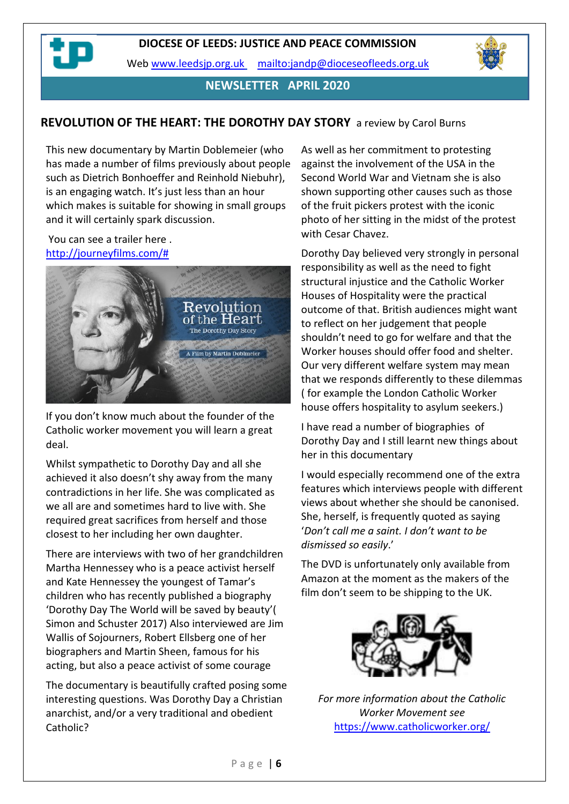



## **NEWSLETTER APRIL 2020**

## **REVOLUTION OF THE HEART: THE DOROTHY DAY STORY** a review by Carol Burns

This new documentary by Martin Doblemeier (who has made a number of films previously about people such as Dietrich Bonhoeffer and Reinhold Niebuhr), is an engaging watch. It's just less than an hour which makes is suitable for showing in small groups and it will certainly spark discussion.

#### You can see a trailer here . [http://journeyfilms.com/#](http://journeyfilms.com/)



If you don't know much about the founder of the Catholic worker movement you will learn a great deal.

Whilst sympathetic to Dorothy Day and all she achieved it also doesn't shy away from the many contradictions in her life. She was complicated as we all are and sometimes hard to live with. She required great sacrifices from herself and those closest to her including her own daughter.

There are interviews with two of her grandchildren Martha Hennessey who is a peace activist herself and Kate Hennessey the youngest of Tamar's children who has recently published a biography 'Dorothy Day The World will be saved by beauty'( Simon and Schuster 2017) Also interviewed are Jim Wallis of Sojourners, Robert Ellsberg one of her biographers and Martin Sheen, famous for his acting, but also a peace activist of some courage

The documentary is beautifully crafted posing some interesting questions. Was Dorothy Day a Christian anarchist, and/or a very traditional and obedient Catholic?

As well as her commitment to protesting against the involvement of the USA in the Second World War and Vietnam she is also shown supporting other causes such as those of the fruit pickers protest with the iconic photo of her sitting in the midst of the protest with Cesar Chavez.

Dorothy Day believed very strongly in personal responsibility as well as the need to fight structural injustice and the Catholic Worker Houses of Hospitality were the practical outcome of that. British audiences might want to reflect on her judgement that people shouldn't need to go for welfare and that the Worker houses should offer food and shelter. Our very different welfare system may mean that we responds differently to these dilemmas ( for example the London Catholic Worker house offers hospitality to asylum seekers.)

I have read a number of biographies of Dorothy Day and I still learnt new things about her in this documentary

I would especially recommend one of the extra features which interviews people with different views about whether she should be canonised. She, herself, is frequently quoted as saying '*Don't call me a saint. I don't want to be dismissed so easily*.'

The DVD is unfortunately only available from Amazon at the moment as the makers of the film don't seem to be shipping to the UK.



*For more information about the Catholic Worker Movement see* <https://www.catholicworker.org/>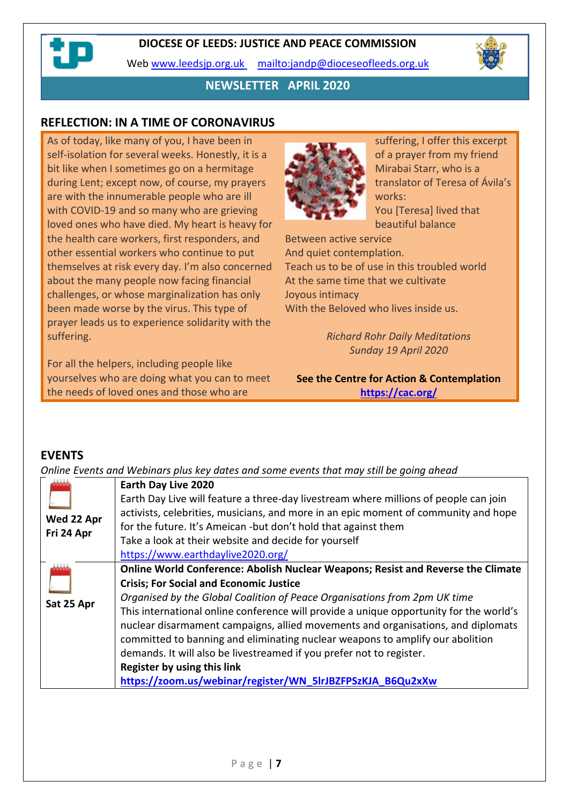

# **NEWSLETTER APRIL 2020**

## **REFLECTION: IN A TIME OF CORONAVIRUS**

As of today, like many of you, I have been in self-isolation for several weeks. Honestly, it is a bit like when I sometimes go on a hermitage during Lent; except now, of course, my prayers are with the innumerable people who are ill with COVID-19 and so many who are grieving loved ones who have died. My heart is heavy for the health care workers, first responders, and other essential workers who continue to put themselves at risk every day. I'm also concerned about the many people now facing financial challenges, or whose marginalization has only been made worse by the virus. This type of prayer leads us to experience solidarity with the suffering.

For all the helpers, including people like yourselves who are doing what you can to meet the needs of loved ones and those who are



suffering, I offer this excerpt of a prayer from my friend Mirabai Starr, who is a translator of Teresa of Ávila's works: You [Teresa] lived that beautiful balance

Between active service And quiet contemplation. Teach us to be of use in this troubled world At the same time that we cultivate Joyous intimacy With the Beloved who lives inside us.

> *Richard Rohr Daily Meditations Sunday 19 April 2020*

**See the Centre for Action & Contemplation <https://cac.org/>**

#### **EVENTS**

*Online Events and Webinars plus key dates and some events that may still be going ahead*

|                          | Earth Day Live 2020                                                                                                                                                                                                                                                                                                                                                                                              |
|--------------------------|------------------------------------------------------------------------------------------------------------------------------------------------------------------------------------------------------------------------------------------------------------------------------------------------------------------------------------------------------------------------------------------------------------------|
|                          | Earth Day Live will feature a three-day livestream where millions of people can join<br>activists, celebrities, musicians, and more in an epic moment of community and hope                                                                                                                                                                                                                                      |
| Wed 22 Apr<br>Fri 24 Apr | for the future. It's Ameican -but don't hold that against them                                                                                                                                                                                                                                                                                                                                                   |
|                          | Take a look at their website and decide for yourself<br>https://www.earthdaylive2020.org/                                                                                                                                                                                                                                                                                                                        |
| يشفذ                     | Online World Conference: Abolish Nuclear Weapons; Resist and Reverse the Climate                                                                                                                                                                                                                                                                                                                                 |
|                          | <b>Crisis; For Social and Economic Justice</b>                                                                                                                                                                                                                                                                                                                                                                   |
| Sat 25 Apr               | Organised by the Global Coalition of Peace Organisations from 2pm UK time<br>This international online conference will provide a unique opportunity for the world's<br>nuclear disarmament campaigns, allied movements and organisations, and diplomats<br>committed to banning and eliminating nuclear weapons to amplify our abolition<br>demands. It will also be livestreamed if you prefer not to register. |
|                          | Register by using this link                                                                                                                                                                                                                                                                                                                                                                                      |
|                          | https://zoom.us/webinar/register/WN 5lrJBZFPSzKJA B6Qu2xXw                                                                                                                                                                                                                                                                                                                                                       |